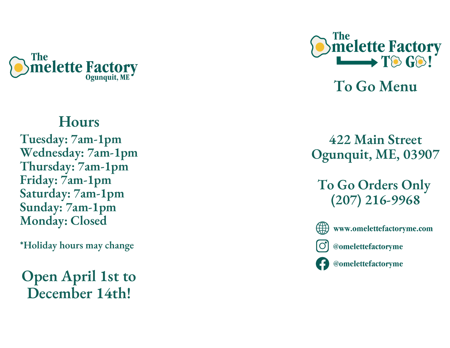

# **H o u r s**

Tuesday:  $7$ am-1pm Wednesday: 7am-1pm Thursday: 7am-1pm **Friday:**  $7$ **am-1pm** Saturday: 7am-1pm Sunday: 7am-1pm Monday: Closed

\*Holiday hours may change

**Open April 1st to** December 14th!



 $\bf{To}$  **Go Menu** 

# **4 2 2 M a i n S t r e e t** Ogunquit, ME, 03907

To Go Orders Only **( 2 0 7 ) 2 1 6 - 9 9 6 8**



www.omelettefactoryme.com



@omelettefactoryme